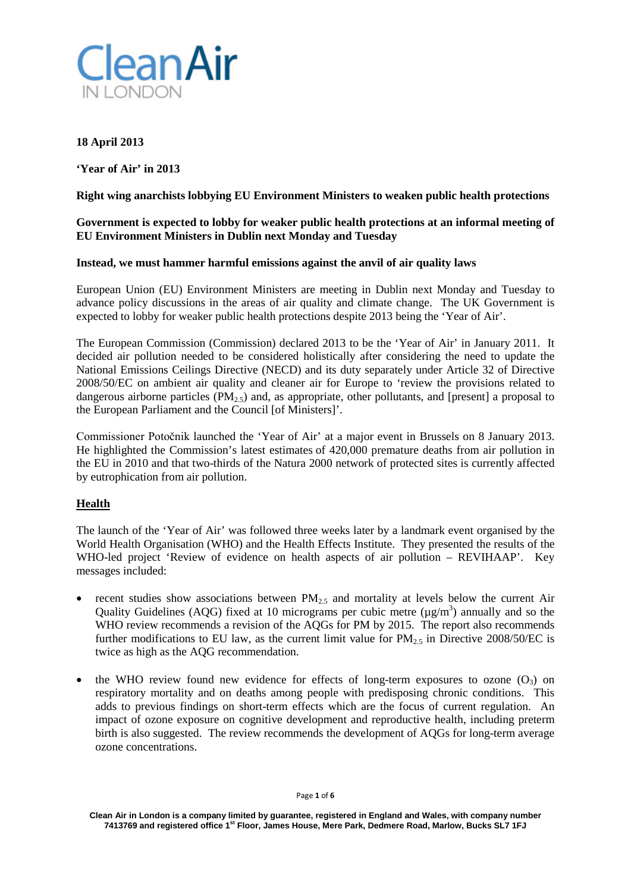

## **18 April 2013**

**'Year of Air' in 2013**

**Right wing anarchists lobbying EU Environment Ministers to weaken public health protections**

## **Government is expected to lobby for weaker public health protections at an informal meeting of EU Environment Ministers in Dublin next Monday and Tuesday**

#### **Instead, we must hammer harmful emissions against the anvil of air quality laws**

European Union (EU) Environment Ministers are meeting in Dublin next Monday and Tuesday to advance policy discussions in the areas of air quality and climate change. The UK Government is expected to lobby for weaker public health protections despite 2013 being the 'Year of Air'.

The European Commission (Commission) declared 2013 to be the 'Year of Air' in January 2011. It decided air pollution needed to be considered holistically after considering the need to update the National Emissions Ceilings Directive (NECD) and its duty separately under Article 32 of Directive 2008/50/EC on ambient air quality and cleaner air for Europe to 'review the provisions related to dangerous airborne particles  $(PM_{2.5})$  and, as appropriate, other pollutants, and [present] a proposal to the European Parliament and the Council [of Ministers]'.

Commissioner Potočnik launched the 'Year of Air' at a major event in Brussels on 8 January 2013. He highlighted the Commission's latest estimates of 420,000 premature deaths from air pollution in the EU in 2010 and that two-thirds of the Natura 2000 network of protected sites is currently affected by eutrophication from air pollution.

# **Health**

The launch of the 'Year of Air' was followed three weeks later by a landmark event organised by the World Health Organisation (WHO) and the Health Effects Institute. They presented the results of the WHO-led project 'Review of evidence on health aspects of air pollution – REVIHAAP'. Key messages included:

- recent studies show associations between  $PM_{2.5}$  and mortality at levels below the current Air Quality Guidelines (AQG) fixed at 10 micrograms per cubic metre ( $\mu$ g/m<sup>3</sup>) annually and so the WHO review recommends a revision of the AQGs for PM by 2015. The report also recommends further modifications to EU law, as the current limit value for  $PM_{2.5}$  in Directive 2008/50/EC is twice as high as the AQG recommendation.
- the WHO review found new evidence for effects of long-term exposures to ozone  $(O_3)$  on respiratory mortality and on deaths among people with predisposing chronic conditions. This adds to previous findings on short-term effects which are the focus of current regulation. An impact of ozone exposure on cognitive development and reproductive health, including preterm birth is also suggested. The review recommends the development of AQGs for long-term average ozone concentrations.

**Clean Air in London is a company limited by guarantee, registered in England and Wales, with company number 7413769 and registered office 1st Floor, James House, Mere Park, Dedmere Road, Marlow, Bucks SL7 1FJ**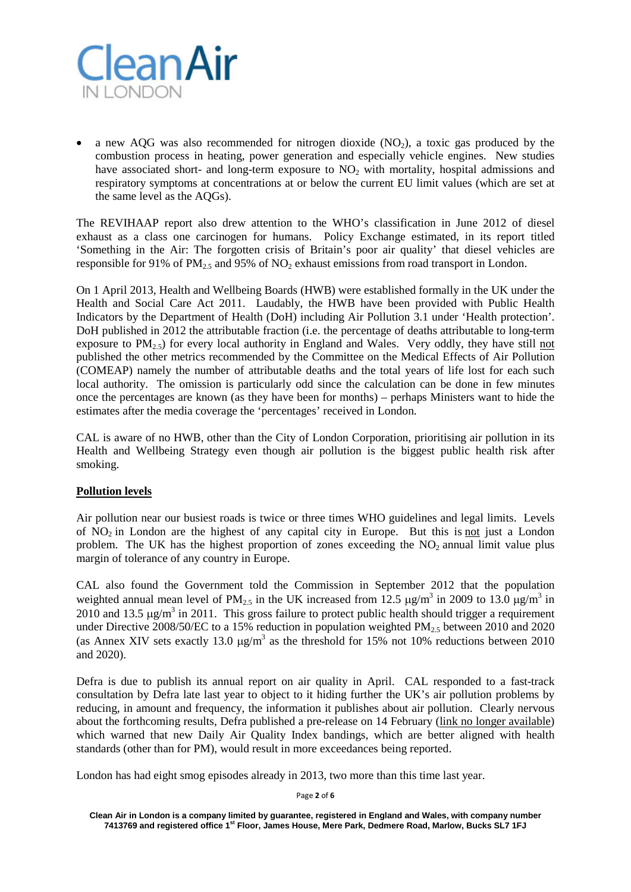

a new AOG was also recommended for nitrogen dioxide (NO<sub>2</sub>), a toxic gas produced by the combustion process in heating, power generation and especially vehicle engines. New studies have associated short- and long-term exposure to  $NO<sub>2</sub>$  with mortality, hospital admissions and respiratory symptoms at concentrations at or below the current EU limit values (which are set at the same level as the AQGs).

The REVIHAAP report also drew attention to the WHO's classification in June 2012 of diesel exhaust as a class one carcinogen for humans. Policy Exchange estimated, in its report titled 'Something in the Air: The forgotten crisis of Britain's poor air quality' that diesel vehicles are responsible for 91% of PM<sub>2.5</sub> and 95% of NO<sub>2</sub> exhaust emissions from road transport in London.

On 1 April 2013, Health and Wellbeing Boards (HWB) were established formally in the UK under the Health and Social Care Act 2011. Laudably, the HWB have been provided with Public Health Indicators by the Department of Health (DoH) including Air Pollution 3.1 under 'Health protection'. DoH published in 2012 the attributable fraction (i.e. the percentage of deaths attributable to long-term exposure to  $PM_{2.5}$ ) for every local authority in England and Wales. Very oddly, they have still not published the other metrics recommended by the Committee on the Medical Effects of Air Pollution (COMEAP) namely the number of attributable deaths and the total years of life lost for each such local authority. The omission is particularly odd since the calculation can be done in few minutes once the percentages are known (as they have been for months) – perhaps Ministers want to hide the estimates after the media coverage the 'percentages' received in London.

CAL is aware of no HWB, other than the City of London Corporation, prioritising air pollution in its Health and Wellbeing Strategy even though air pollution is the biggest public health risk after smoking.

# **Pollution levels**

Air pollution near our busiest roads is twice or three times WHO guidelines and legal limits. Levels of  $NO<sub>2</sub>$  in London are the highest of any capital city in Europe. But this is not just a London problem. The UK has the highest proportion of zones exceeding the  $NO<sub>2</sub>$  annual limit value plus margin of tolerance of any country in Europe.

CAL also found the Government told the Commission in September 2012 that the population weighted annual mean level of PM<sub>2.5</sub> in the UK increased from 12.5  $\mu$ g/m<sup>3</sup> in 2009 to 13.0  $\mu$ g/m<sup>3</sup> in 2010 and 13.5  $\mu$ g/m<sup>3</sup> in 2011. This gross failure to protect public health should trigger a requirement under Directive 2008/50/EC to a 15% reduction in population weighted  $PM_{2.5}$  between 2010 and 2020 (as Annex XIV sets exactly 13.0  $\mu$ g/m<sup>3</sup> as the threshold for 15% not 10% reductions between 2010 and 2020).

Defra is due to publish its annual report on air quality in April. CAL responded to a fast-track consultation by Defra late last year to object to it hiding further the UK's air pollution problems by reducing, in amount and frequency, the information it publishes about air pollution. Clearly nervous about the forthcoming results, Defra published a pre-release on 14 February (link no longer available) which warned that new Daily Air Quality Index bandings, which are better aligned with health standards (other than for PM), would result in more exceedances being reported.

London has had eight smog episodes already in 2013, two more than this time last year.

Page **2** of **6**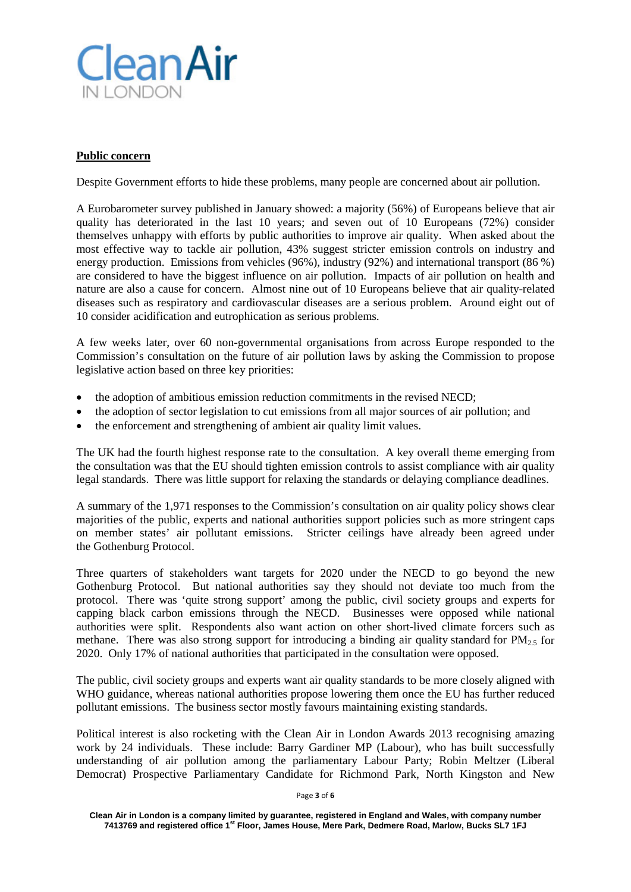

## **Public concern**

Despite Government efforts to hide these problems, many people are concerned about air pollution.

A Eurobarometer survey published in January showed: a majority (56%) of Europeans believe that air quality has deteriorated in the last 10 years; and seven out of 10 Europeans (72%) consider themselves unhappy with efforts by public authorities to improve air quality. When asked about the most effective way to tackle air pollution, 43% suggest stricter emission controls on industry and energy production. Emissions from vehicles (96%), industry (92%) and international transport (86 %) are considered to have the biggest influence on air pollution. Impacts of air pollution on health and nature are also a cause for concern. Almost nine out of 10 Europeans believe that air quality-related diseases such as respiratory and cardiovascular diseases are a serious problem. Around eight out of 10 consider acidification and eutrophication as serious problems.

A few weeks later, over 60 non-governmental organisations from across Europe responded to the Commission's consultation on the future of air pollution laws by asking the Commission to propose legislative action based on three key priorities:

- the adoption of ambitious emission reduction commitments in the revised NECD;
- the adoption of sector legislation to cut emissions from all major sources of air pollution; and
- the enforcement and strengthening of ambient air quality limit values.

The UK had the fourth highest response rate to the consultation. A key overall theme emerging from the consultation was that the EU should tighten emission controls to assist compliance with air quality legal standards. There was little support for relaxing the standards or delaying compliance deadlines.

A summary of the 1,971 responses to the Commission's consultation on air quality policy shows clear majorities of the public, experts and national authorities support policies such as more stringent caps on member states' air pollutant emissions. Stricter ceilings have already been agreed under the Gothenburg Protocol.

Three quarters of stakeholders want targets for 2020 under the NECD to go beyond the new Gothenburg Protocol. But national authorities say they should not deviate too much from the protocol. There was 'quite strong support' among the public, civil society groups and experts for capping black carbon emissions through the NECD. Businesses were opposed while national authorities were split. Respondents also want action on other short-lived climate forcers such as methane. There was also strong support for introducing a binding air quality standard for  $PM_{2.5}$  for 2020. Only 17% of national authorities that participated in the consultation were opposed.

The public, civil society groups and experts want air quality standards to be more closely aligned with WHO guidance, whereas national authorities propose lowering them once the EU has further reduced pollutant emissions. The business sector mostly favours maintaining existing standards.

Political interest is also rocketing with the Clean Air in London Awards 2013 recognising amazing work by 24 individuals. These include: Barry Gardiner MP (Labour), who has built successfully understanding of air pollution among the parliamentary Labour Party; Robin Meltzer (Liberal Democrat) Prospective Parliamentary Candidate for Richmond Park, North Kingston and New

Page **3** of **6**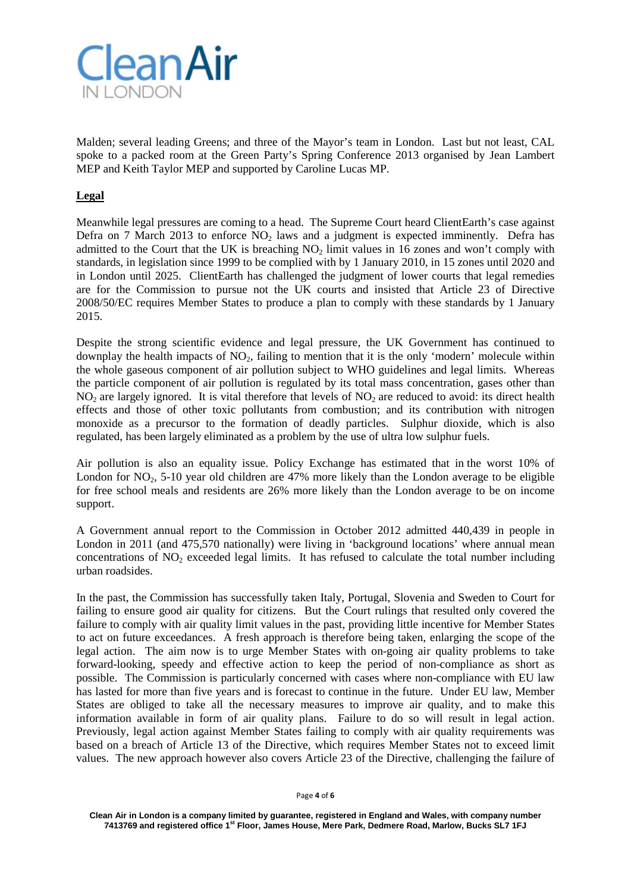

Malden; several leading Greens; and three of the Mayor's team in London. Last but not least, CAL spoke to a packed room at the Green Party's Spring Conference 2013 organised by Jean Lambert MEP and Keith Taylor MEP and supported by Caroline Lucas MP.

## **Legal**

Meanwhile legal pressures are coming to a head. The Supreme Court heard ClientEarth's case against Defra on 7 March 2013 to enforce  $NO<sub>2</sub>$  laws and a judgment is expected imminently. Defra has admitted to the Court that the UK is breaching  $NO<sub>2</sub>$  limit values in 16 zones and won't comply with standards, in legislation since 1999 to be complied with by 1 January 2010, in 15 zones until 2020 and in London until 2025. ClientEarth has challenged the judgment of lower courts that legal remedies are for the Commission to pursue not the UK courts and insisted that Article 23 of Directive 2008/50/EC requires Member States to produce a plan to comply with these standards by 1 January 2015.

Despite the strong scientific evidence and legal pressure, the UK Government has continued to downplay the health impacts of  $NO<sub>2</sub>$ , failing to mention that it is the only 'modern' molecule within the whole gaseous component of air pollution subject to WHO guidelines and legal limits. Whereas the particle component of air pollution is regulated by its total mass concentration, gases other than  $NO<sub>2</sub>$  are largely ignored. It is vital therefore that levels of  $NO<sub>2</sub>$  are reduced to avoid: its direct health effects and those of other toxic pollutants from combustion; and its contribution with nitrogen monoxide as a precursor to the formation of deadly particles. Sulphur dioxide, which is also regulated, has been largely eliminated as a problem by the use of ultra low sulphur fuels.

Air pollution is also an equality issue. Policy Exchange has estimated that in the worst 10% of London for  $NO<sub>2</sub>$ , 5-10 year old children are 47% more likely than the London average to be eligible for free school meals and residents are 26% more likely than the London average to be on income support.

A Government annual report to the Commission in October 2012 admitted 440,439 in people in London in 2011 (and 475,570 nationally) were living in 'background locations' where annual mean concentrations of  $NO<sub>2</sub>$  exceeded legal limits. It has refused to calculate the total number including urban roadsides.

In the past, the Commission has successfully taken Italy, Portugal, Slovenia and Sweden to Court for failing to ensure good air quality for citizens. But the Court rulings that resulted only covered the failure to comply with air quality limit values in the past, providing little incentive for Member States to act on future exceedances. A fresh approach is therefore being taken, enlarging the scope of the legal action. The aim now is to urge Member States with on-going air quality problems to take forward-looking, speedy and effective action to keep the period of non-compliance as short as possible. The Commission is particularly concerned with cases where non-compliance with EU law has lasted for more than five years and is forecast to continue in the future. Under EU law, Member States are obliged to take all the necessary measures to improve air quality, and to make this information available in form of air quality plans. Failure to do so will result in legal action. Previously, legal action against Member States failing to comply with air quality requirements was based on a breach of Article 13 of the Directive, which requires Member States not to exceed limit values. The new approach however also covers Article 23 of the Directive, challenging the failure of

Page **4** of **6**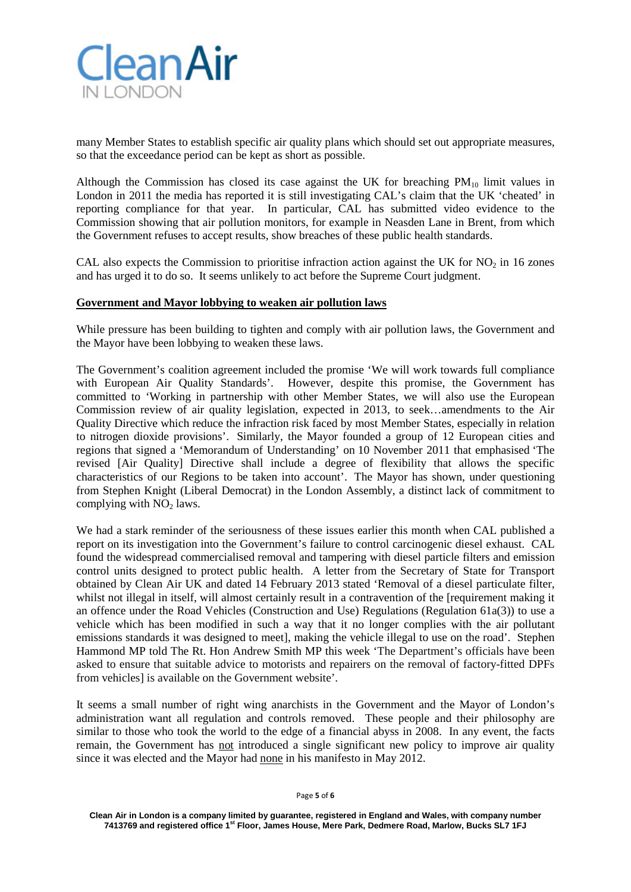

many Member States to establish specific air quality plans which should set out appropriate measures, so that the exceedance period can be kept as short as possible.

Although the Commission has closed its case against the UK for breaching  $PM_{10}$  limit values in London in 2011 the media has reported it is still investigating CAL's claim that the UK 'cheated' in reporting compliance for that year. In particular, CAL has submitted video evidence to the Commission showing that air pollution monitors, for example in Neasden Lane in Brent, from which the Government refuses to accept results, show breaches of these public health standards.

CAL also expects the Commission to prioritise infraction action against the UK for  $NO<sub>2</sub>$  in 16 zones and has urged it to do so. It seems unlikely to act before the Supreme Court judgment.

#### **Government and Mayor lobbying to weaken air pollution laws**

While pressure has been building to tighten and comply with air pollution laws, the Government and the Mayor have been lobbying to weaken these laws.

The Government's coalition agreement included the promise 'We will work towards full compliance with European Air Quality Standards'. However, despite this promise, the Government has committed to 'Working in partnership with other Member States, we will also use the European Commission review of air quality legislation, expected in 2013, to seek…amendments to the Air Quality Directive which reduce the infraction risk faced by most Member States, especially in relation to nitrogen dioxide provisions'. Similarly, the Mayor founded a group of 12 European cities and regions that signed a 'Memorandum of Understanding' on 10 November 2011 that emphasised 'The revised [Air Quality] Directive shall include a degree of flexibility that allows the specific characteristics of our Regions to be taken into account'. The Mayor has shown, under questioning from Stephen Knight (Liberal Democrat) in the London Assembly, a distinct lack of commitment to complying with  $NO<sub>2</sub>$  laws.

We had a stark reminder of the seriousness of these issues earlier this month when CAL published a report on its investigation into the Government's failure to control carcinogenic diesel exhaust. CAL found the widespread commercialised removal and tampering with diesel particle filters and emission control units designed to protect public health. A letter from the Secretary of State for Transport obtained by Clean Air UK and dated 14 February 2013 stated 'Removal of a diesel particulate filter, whilst not illegal in itself, will almost certainly result in a contravention of the [requirement making it an offence under the Road Vehicles (Construction and Use) Regulations (Regulation 61a(3)) to use a vehicle which has been modified in such a way that it no longer complies with the air pollutant emissions standards it was designed to meet], making the vehicle illegal to use on the road'. Stephen Hammond MP told The Rt. Hon Andrew Smith MP this week 'The Department's officials have been asked to ensure that suitable advice to motorists and repairers on the removal of factory-fitted DPFs from vehicles] is available on the Government website'.

It seems a small number of right wing anarchists in the Government and the Mayor of London's administration want all regulation and controls removed. These people and their philosophy are similar to those who took the world to the edge of a financial abyss in 2008. In any event, the facts remain, the Government has not introduced a single significant new policy to improve air quality since it was elected and the Mayor had none in his manifesto in May 2012.

Page **5** of **6**

**Clean Air in London is a company limited by guarantee, registered in England and Wales, with company number 7413769 and registered office 1st Floor, James House, Mere Park, Dedmere Road, Marlow, Bucks SL7 1FJ**